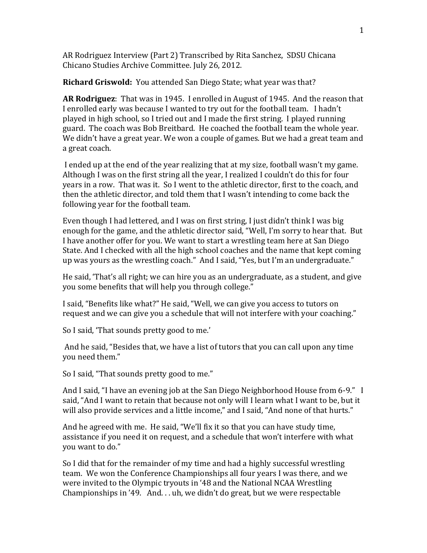AR Rodriguez Interview (Part 2) Transcribed by Rita Sanchez, SDSU Chicana Chicano Studies Archive Committee. July 26, 2012.

**Richard Griswold:** You attended San Diego State; what year was that?

**AR Rodriguez**: That was in 1945. I enrolled in August of 1945. And the reason that I enrolled early was because I wanted to try out for the football team. I hadn't played in high school, so I tried out and I made the first string. I played running guard. The coach was Bob Breitbard. He coached the football team the whole year. We didn't have a great year. We won a couple of games. But we had a great team and a great coach.

I ended up at the end of the year realizing that at my size, football wasn't my game. Although I was on the first string all the year, I realized I couldn't do this for four years in a row. That was it. So I went to the athletic director, first to the coach, and then the athletic director, and told them that I wasn't intending to come back the following year for the football team.

Even though I had lettered, and I was on first string, I just didn't think I was big enough for the game, and the athletic director said, "Well, I'm sorry to hear that. But I have another offer for you. We want to start a wrestling team here at San Diego State. And I checked with all the high school coaches and the name that kept coming up was yours as the wrestling coach." And I said, "Yes, but I'm an undergraduate."

He said, 'That's all right; we can hire you as an undergraduate, as a student, and give you some benefits that will help you through college."

I said, "Benefits like what?" He said, "Well, we can give you access to tutors on request and we can give you a schedule that will not interfere with your coaching."

So I said, 'That sounds pretty good to me.'

And he said, "Besides that, we have a list of tutors that you can call upon any time you need them."

So I said, "That sounds pretty good to me."

And I said, "I have an evening job at the San Diego Neighborhood House from 6-9." I said, "And I want to retain that because not only will I learn what I want to be, but it will also provide services and a little income," and I said, "And none of that hurts."

And he agreed with me. He said, "We'll fix it so that you can have study time, assistance if you need it on request, and a schedule that won't interfere with what you want to do."

So I did that for the remainder of my time and had a highly successful wrestling team. We won the Conference Championships all four years I was there, and we were invited to the Olympic tryouts in '48 and the National NCAA Wrestling Championships in '49. And. . . uh, we didn't do great, but we were respectable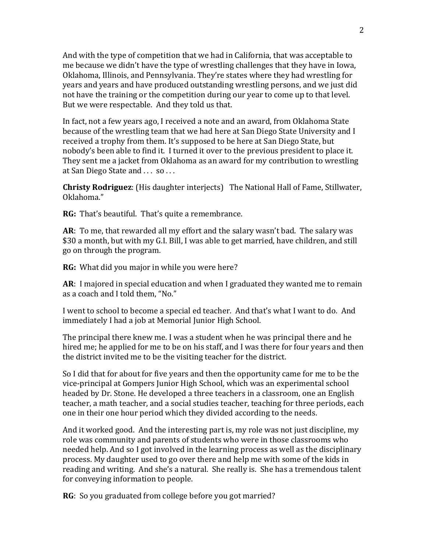And with the type of competition that we had in California, that was acceptable to me because we didn't have the type of wrestling challenges that they have in Iowa, Oklahoma, Illinois, and Pennsylvania. They're states where they had wrestling for years and years and have produced outstanding wrestling persons, and we just did not have the training or the competition during our year to come up to that level. But we were respectable. And they told us that.

In fact, not a few years ago, I received a note and an award, from Oklahoma State because of the wrestling team that we had here at San Diego State University and I received a trophy from them. It's supposed to be here at San Diego State, but nobody's been able to find it. I turned it over to the previous president to place it. They sent me a jacket from Oklahoma as an award for my contribution to wrestling at San Diego State and . . . so . . .

**Christy Rodriguez**: (His daughter interjects) The National Hall of Fame, Stillwater, Oklahoma."

**RG:** That's beautiful. That's quite a remembrance.

**AR**: To me, that rewarded all my effort and the salary wasn't bad. The salary was \$30 a month, but with my G.I. Bill, I was able to get married, have children, and still go on through the program.

**RG:** What did you major in while you were here?

**AR**: I majored in special education and when I graduated they wanted me to remain as a coach and I told them, "No."

I went to school to become a special ed teacher. And that's what I want to do. And immediately I had a job at Memorial Junior High School.

The principal there knew me. I was a student when he was principal there and he hired me; he applied for me to be on his staff, and I was there for four years and then the district invited me to be the visiting teacher for the district.

So I did that for about for five years and then the opportunity came for me to be the vice-principal at Gompers Junior High School, which was an experimental school headed by Dr. Stone. He developed a three teachers in a classroom, one an English teacher, a math teacher, and a social studies teacher, teaching for three periods, each one in their one hour period which they divided according to the needs.

And it worked good. And the interesting part is, my role was not just discipline, my role was community and parents of students who were in those classrooms who needed help. And so I got involved in the learning process as well as the disciplinary process. My daughter used to go over there and help me with some of the kids in reading and writing. And she's a natural. She really is. She has a tremendous talent for conveying information to people.

**RG**: So you graduated from college before you got married?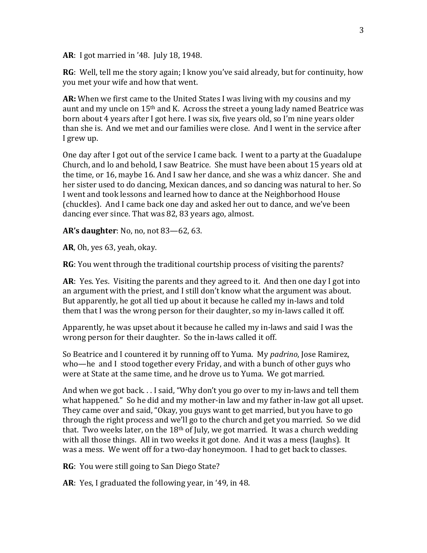**AR**: I got married in '48. July 18, 1948.

**RG**: Well, tell me the story again; I know you've said already, but for continuity, how you met your wife and how that went.

**AR:** When we first came to the United States I was living with my cousins and my aunt and my uncle on 15th and K. Across the street a young lady named Beatrice was born about 4 years after I got here. I was six, five years old, so I'm nine years older than she is. And we met and our families were close. And I went in the service after I grew up.

One day after I got out of the service I came back. I went to a party at the Guadalupe Church, and lo and behold, I saw Beatrice. She must have been about 15 years old at the time, or 16, maybe 16. And I saw her dance, and she was a whiz dancer. She and her sister used to do dancing, Mexican dances, and so dancing was natural to her. So I went and took lessons and learned how to dance at the Neighborhood House (chuckles). And I came back one day and asked her out to dance, and we've been dancing ever since. That was 82, 83 years ago, almost.

**AR's daughter**: No, no, not 83—62, 63.

**AR**, Oh, yes 63, yeah, okay.

**RG**: You went through the traditional courtship process of visiting the parents?

**AR**: Yes. Yes. Visiting the parents and they agreed to it. And then one day I got into an argument with the priest, and I still don't know what the argument was about. But apparently, he got all tied up about it because he called my in-laws and told them that I was the wrong person for their daughter, so my in-laws called it off.

Apparently, he was upset about it because he called my in-laws and said I was the wrong person for their daughter. So the in-laws called it off.

So Beatrice and I countered it by running off to Yuma. My *padrino*, Jose Ramirez, who—he and I stood together every Friday, and with a bunch of other guys who were at State at the same time, and he drove us to Yuma. We got married.

And when we got back. . . I said, "Why don't you go over to my in-laws and tell them what happened." So he did and my mother-in law and my father in-law got all upset. They came over and said, "Okay, you guys want to get married, but you have to go through the right process and we'll go to the church and get you married. So we did that. Two weeks later, on the  $18<sup>th</sup>$  of July, we got married. It was a church wedding with all those things. All in two weeks it got done. And it was a mess (laughs). It was a mess. We went off for a two-day honeymoon. I had to get back to classes.

**RG**: You were still going to San Diego State?

**AR**: Yes, I graduated the following year, in '49, in 48.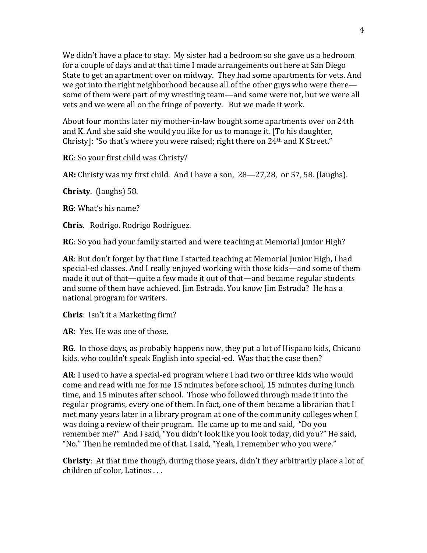We didn't have a place to stay. My sister had a bedroom so she gave us a bedroom for a couple of days and at that time I made arrangements out here at San Diego State to get an apartment over on midway. They had some apartments for vets. And we got into the right neighborhood because all of the other guys who were there some of them were part of my wrestling team—and some were not, but we were all vets and we were all on the fringe of poverty. But we made it work.

About four months later my mother-in-law bought some apartments over on 24th and K. And she said she would you like for us to manage it. [To his daughter, Christy]: "So that's where you were raised; right there on 24th and K Street."

**RG**: So your first child was Christy?

**AR:** Christy was my first child. And I have a son, 28—27,28, or 57, 58. (laughs).

**Christy**. (laughs) 58.

**RG**: What's his name?

**Chris**. Rodrigo. Rodrigo Rodriguez.

**RG**: So you had your family started and were teaching at Memorial Junior High?

**AR**: But don't forget by that time I started teaching at Memorial Junior High, I had special-ed classes. And I really enjoyed working with those kids—and some of them made it out of that—quite a few made it out of that—and became regular students and some of them have achieved. Jim Estrada. You know Jim Estrada? He has a national program for writers.

**Chris**: Isn't it a Marketing firm?

**AR**: Yes. He was one of those.

**RG**. In those days, as probably happens now, they put a lot of Hispano kids, Chicano kids, who couldn't speak English into special-ed. Was that the case then?

**AR**: I used to have a special-ed program where I had two or three kids who would come and read with me for me 15 minutes before school, 15 minutes during lunch time, and 15 minutes after school. Those who followed through made it into the regular programs, every one of them. In fact, one of them became a librarian that I met many years later in a library program at one of the community colleges when I was doing a review of their program. He came up to me and said, "Do you remember me?" And I said, "You didn't look like you look today, did you?" He said, "No." Then he reminded me of that. I said, "Yeah, I remember who you were."

**Christy**: At that time though, during those years, didn't they arbitrarily place a lot of children of color, Latinos . . .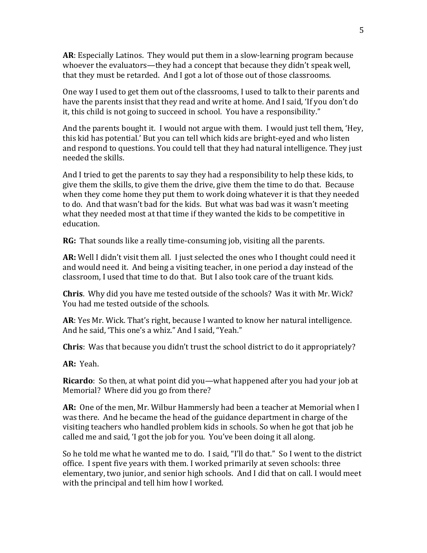**AR**: Especially Latinos. They would put them in a slow-learning program because whoever the evaluators—they had a concept that because they didn't speak well, that they must be retarded. And I got a lot of those out of those classrooms.

One way I used to get them out of the classrooms, I used to talk to their parents and have the parents insist that they read and write at home. And I said, 'If you don't do it, this child is not going to succeed in school. You have a responsibility."

And the parents bought it. I would not argue with them. I would just tell them, 'Hey, this kid has potential.' But you can tell which kids are bright-eyed and who listen and respond to questions. You could tell that they had natural intelligence. They just needed the skills.

And I tried to get the parents to say they had a responsibility to help these kids, to give them the skills, to give them the drive, give them the time to do that. Because when they come home they put them to work doing whatever it is that they needed to do. And that wasn't bad for the kids. But what was bad was it wasn't meeting what they needed most at that time if they wanted the kids to be competitive in education.

**RG:** That sounds like a really time-consuming job, visiting all the parents.

**AR:** Well I didn't visit them all. I just selected the ones who I thought could need it and would need it. And being a visiting teacher, in one period a day instead of the classroom, I used that time to do that. But I also took care of the truant kids.

**Chris**. Why did you have me tested outside of the schools? Was it with Mr. Wick? You had me tested outside of the schools.

**AR**: Yes Mr. Wick. That's right, because I wanted to know her natural intelligence. And he said, 'This one's a whiz." And I said, "Yeah."

**Chris**: Was that because you didn't trust the school district to do it appropriately?

**AR:** Yeah.

**Ricardo**: So then, at what point did you—what happened after you had your job at Memorial? Where did you go from there?

**AR:** One of the men, Mr. Wilbur Hammersly had been a teacher at Memorial when I was there. And he became the head of the guidance department in charge of the visiting teachers who handled problem kids in schools. So when he got that job he called me and said, 'I got the job for you. You've been doing it all along.

So he told me what he wanted me to do. I said, "I'll do that." So I went to the district office. I spent five years with them. I worked primarily at seven schools: three elementary, two junior, and senior high schools. And I did that on call. I would meet with the principal and tell him how I worked.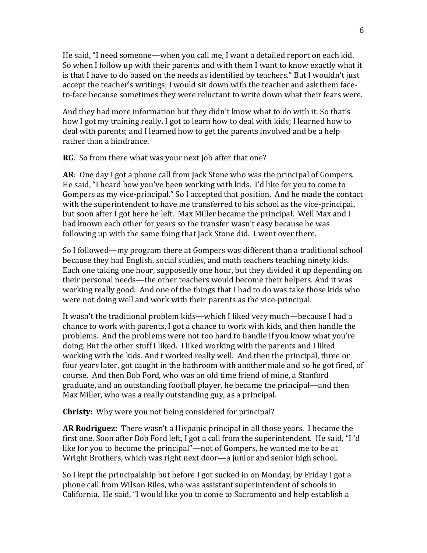He said, "I need someone—when you call me, I want a detailed report on each kid. So when I follow up with their parents and with them I want to know exactly what it is that I have to do based on the needs as identified by teachers." But I wouldn't just accept the teacher's writings; I would sit down with the teacher and ask them faceto-face because sometimes they were reluctant to write down what their fears were.

And they had more information but they didn't know what to do with it. So that's how I got my training really. I got to learn how to deal with kids; I learned how to deal with parents; and I learned how to get the parents involved and be a help rather than a hindrance.

**RG**. So from there what was your next job after that one?

**AR**: One day I got a phone call from Jack Stone who was the principal of Gompers. He said, "I heard how you've been working with kids. I'd like for you to come to Gompers as my vice-principal." So I accepted that position. And he made the contact with the superintendent to have me transferred to his school as the vice-principal, but soon after I got here he left. Max Miller became the principal. Well Max and I had known each other for years so the transfer wasn't easy because he was following up with the same thing that Jack Stone did. I went over there.

So I followed—my program there at Gompers was different than a traditional school because they had English, social studies, and math teachers teaching ninety kids. Each one taking one hour, supposedly one hour, but they divided it up depending on their personal needs—the other teachers would become their helpers. And it was working really good. And one of the things that I had to do was take those kids who were not doing well and work with their parents as the vice-principal.

It wasn't the traditional problem kids—which I liked very much—because I had a chance to work with parents, I got a chance to work with kids, and then handle the problems. And the problems were not too hard to handle if you know what you're doing. But the other stuff I liked. I liked working with the parents and I liked working with the kids. And t worked really well. And then the principal, three or four years later, got caught in the bathroom with another male and so he got fired, of course. And then Bob Ford, who was an old time friend of mine, a Stanford graduate, and an outstanding football player, he became the principal—and then Max Miller, who was a really outstanding guy, as a principal.

**Christy:** Why were you not being considered for principal?

**AR Rodriguez:** There wasn't a Hispanic principal in all those years. I became the first one. Soon after Bob Ford left, I got a call from the superintendent. He said, "I 'd like for you to become the principal"—not of Gompers, he wanted me to be at Wright Brothers, which was right next door—a junior and senior high school.

So I kept the principalship but before I got sucked in on Monday, by Friday I got a phone call from Wilson Riles, who was assistant superintendent of schools in California. He said, "I would like you to come to Sacramento and help establish a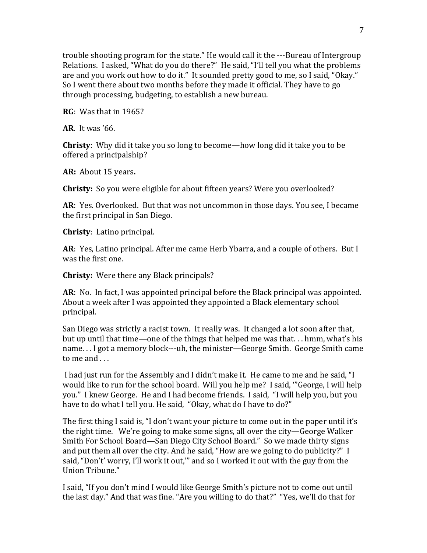trouble shooting program for the state." He would call it the ---Bureau of Intergroup Relations. I asked, "What do you do there?" He said, "I'll tell you what the problems are and you work out how to do it." It sounded pretty good to me, so I said, "Okay." So I went there about two months before they made it official. They have to go through processing, budgeting, to establish a new bureau.

**RG**: Was that in 1965?

**AR**. It was '66.

**Christy**: Why did it take you so long to become—how long did it take you to be offered a principalship?

**AR:** About 15 years**.**

**Christy:** So you were eligible for about fifteen years? Were you overlooked?

**AR**: Yes. Overlooked. But that was not uncommon in those days. You see, I became the first principal in San Diego.

**Christy**: Latino principal.

**AR**: Yes, Latino principal. After me came Herb Ybarra, and a couple of others. But I was the first one.

**Christy:** Were there any Black principals?

**AR**: No. In fact, I was appointed principal before the Black principal was appointed. About a week after I was appointed they appointed a Black elementary school principal.

San Diego was strictly a racist town. It really was. It changed a lot soon after that, but up until that time—one of the things that helped me was that. . . hmm, what's his name. . . I got a memory block---uh, the minister—George Smith. George Smith came to me and . . .

I had just run for the Assembly and I didn't make it. He came to me and he said, "I would like to run for the school board. Will you help me? I said, '"George, I will help you." I knew George. He and I had become friends. I said, "I will help you, but you have to do what I tell you. He said, "Okay, what do I have to do?"

The first thing I said is, "I don't want your picture to come out in the paper until it's the right time. We're going to make some signs, all over the city—George Walker Smith For School Board—San Diego City School Board." So we made thirty signs and put them all over the city. And he said, "How are we going to do publicity?" I said, "Don't' worry, I'll work it out,'" and so I worked it out with the guy from the Union Tribune."

I said, "If you don't mind I would like George Smith's picture not to come out until the last day." And that was fine. "Are you willing to do that?" "Yes, we'll do that for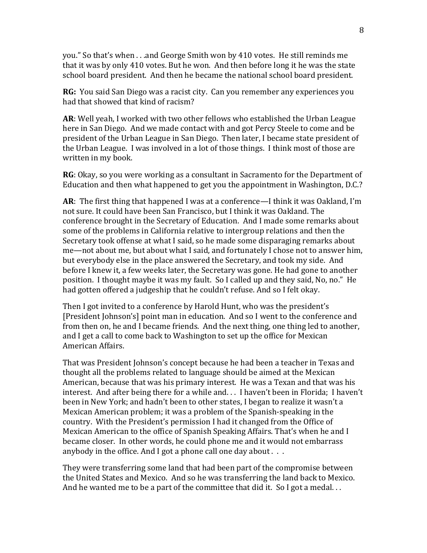you." So that's when . . .and George Smith won by 410 votes. He still reminds me that it was by only 410 votes. But he won. And then before long it he was the state school board president. And then he became the national school board president.

**RG:** You said San Diego was a racist city. Can you remember any experiences you had that showed that kind of racism?

**AR**: Well yeah, I worked with two other fellows who established the Urban League here in San Diego. And we made contact with and got Percy Steele to come and be president of the Urban League in San Diego. Then later, I became state president of the Urban League. I was involved in a lot of those things. I think most of those are written in my book.

**RG**: Okay, so you were working as a consultant in Sacramento for the Department of Education and then what happened to get you the appointment in Washington, D.C.?

**AR**: The first thing that happened I was at a conference—I think it was Oakland, I'm not sure. It could have been San Francisco, but I think it was Oakland. The conference brought in the Secretary of Education. And I made some remarks about some of the problems in California relative to intergroup relations and then the Secretary took offense at what I said, so he made some disparaging remarks about me—not about me, but about what I said, and fortunately I chose not to answer him, but everybody else in the place answered the Secretary, and took my side. And before I knew it, a few weeks later, the Secretary was gone. He had gone to another position. I thought maybe it was my fault. So I called up and they said, No, no." He had gotten offered a judgeship that he couldn't refuse. And so I felt okay.

Then I got invited to a conference by Harold Hunt, who was the president's [President Johnson's] point man in education. And so I went to the conference and from then on, he and I became friends. And the next thing, one thing led to another, and I get a call to come back to Washington to set up the office for Mexican American Affairs.

That was President Johnson's concept because he had been a teacher in Texas and thought all the problems related to language should be aimed at the Mexican American, because that was his primary interest. He was a Texan and that was his interest. And after being there for a while and. . . I haven't been in Florida; I haven't been in New York; and hadn't been to other states, I began to realize it wasn't a Mexican American problem; it was a problem of the Spanish-speaking in the country. With the President's permission I had it changed from the Office of Mexican American to the office of Spanish Speaking Affairs. That's when he and I became closer. In other words, he could phone me and it would not embarrass anybody in the office. And I got a phone call one day about . . .

They were transferring some land that had been part of the compromise between the United States and Mexico. And so he was transferring the land back to Mexico. And he wanted me to be a part of the committee that did it. So I got a medal...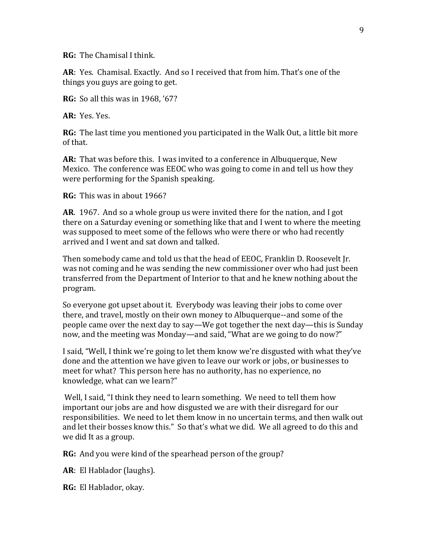**RG:** The Chamisal I think.

**AR**: Yes. Chamisal. Exactly. And so I received that from him. That's one of the things you guys are going to get.

**RG:** So all this was in 1968, '67?

**AR:** Yes. Yes.

**RG:** The last time you mentioned you participated in the Walk Out, a little bit more of that.

**AR:** That was before this. I was invited to a conference in Albuquerque, New Mexico. The conference was EEOC who was going to come in and tell us how they were performing for the Spanish speaking.

**RG:** This was in about 1966?

**AR**. 1967. And so a whole group us were invited there for the nation, and I got there on a Saturday evening or something like that and I went to where the meeting was supposed to meet some of the fellows who were there or who had recently arrived and I went and sat down and talked.

Then somebody came and told us that the head of EEOC, Franklin D. Roosevelt Jr. was not coming and he was sending the new commissioner over who had just been transferred from the Department of Interior to that and he knew nothing about the program.

So everyone got upset about it. Everybody was leaving their jobs to come over there, and travel, mostly on their own money to Albuquerque--and some of the people came over the next day to say—We got together the next day—this is Sunday now, and the meeting was Monday—and said, "What are we going to do now?"

I said, "Well, I think we're going to let them know we're disgusted with what they've done and the attention we have given to leave our work or jobs, or businesses to meet for what? This person here has no authority, has no experience, no knowledge, what can we learn?"

Well, I said, "I think they need to learn something. We need to tell them how important our jobs are and how disgusted we are with their disregard for our responsibilities. We need to let them know in no uncertain terms, and then walk out and let their bosses know this." So that's what we did. We all agreed to do this and we did It as a group.

**RG:** And you were kind of the spearhead person of the group?

**AR**: El Hablador (laughs).

**RG:** El Hablador, okay.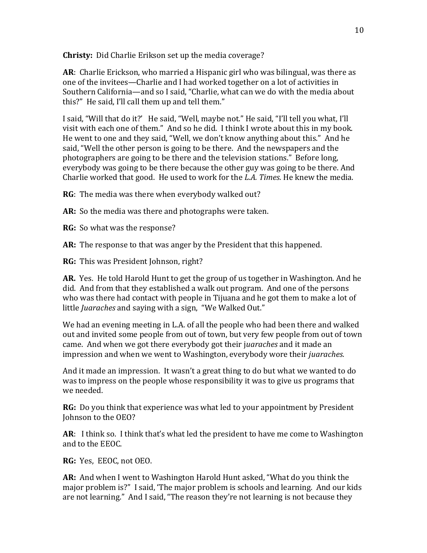**Christy:** Did Charlie Erikson set up the media coverage?

**AR**: Charlie Erickson, who married a Hispanic girl who was bilingual, was there as one of the invitees—Charlie and I had worked together on a lot of activities in Southern California—and so I said, "Charlie, what can we do with the media about this?" He said, I'll call them up and tell them."

I said, "Will that do it?' He said, "Well, maybe not." He said, "I'll tell you what, I'll visit with each one of them." And so he did. I think I wrote about this in my book. He went to one and they said, "Well, we don't know anything about this." And he said, "Well the other person is going to be there. And the newspapers and the photographers are going to be there and the television stations." Before long, everybody was going to be there because the other guy was going to be there. And Charlie worked that good. He used to work for the *L.A. Times.* He knew the media.

**RG**: The media was there when everybody walked out?

**AR:** So the media was there and photographs were taken.

**RG:** So what was the response?

**AR:** The response to that was anger by the President that this happened.

**RG:** This was President Johnson, right?

**AR.** Yes. He told Harold Hunt to get the group of us together in Washington. And he did. And from that they established a walk out program. And one of the persons who was there had contact with people in Tijuana and he got them to make a lot of little *Juaraches* and saying with a sign, "We Walked Out."

We had an evening meeting in L.A. of all the people who had been there and walked out and invited some people from out of town, but very few people from out of town came. And when we got there everybody got their j*uaraches* and it made an impression and when we went to Washington, everybody wore their *juaraches.*

And it made an impression. It wasn't a great thing to do but what we wanted to do was to impress on the people whose responsibility it was to give us programs that we needed.

**RG:** Do you think that experience was what led to your appointment by President Johnson to the OEO?

**AR**: I think so. I think that's what led the president to have me come to Washington and to the EEOC.

**RG:** Yes, EEOC, not OEO.

**AR:** And when I went to Washington Harold Hunt asked, "What do you think the major problem is?" I said, 'The major problem is schools and learning. And our kids are not learning." And I said, "The reason they're not learning is not because they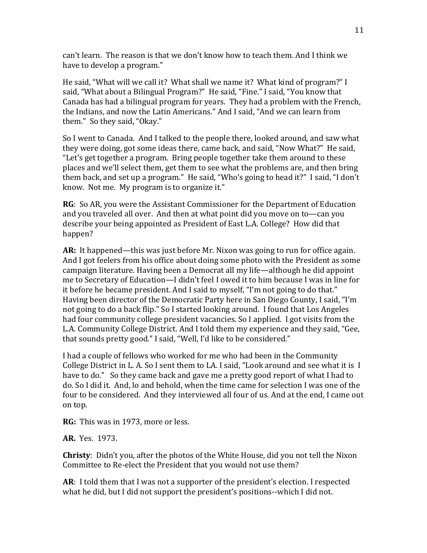can't learn. The reason is that we don't know how to teach them. And I think we have to develop a program."

He said, "What will we call it? What shall we name it? What kind of program?" I said, "What about a Bilingual Program?" He said, "Fine." I said, "You know that Canada has had a bilingual program for years. They had a problem with the French, the Indians, and now the Latin Americans." And I said, "And we can learn from them." So they said, "Okay."

So I went to Canada. And I talked to the people there, looked around, and saw what they were doing, got some ideas there, came back, and said, "Now What?" He said, "Let's get together a program. Bring people together take them around to these places and we'll select them, get them to see what the problems are, and then bring them back, and set up a program." He said, "Who's going to head it?" I said, "I don't know. Not me. My program is to organize it."

**RG**: So AR, you were the Assistant Commissioner for the Department of Education and you traveled all over. And then at what point did you move on to—can you describe your being appointed as President of East L.A. College? How did that happen?

**AR:** It happened—this was just before Mr. Nixon was going to run for office again. And I got feelers from his office about doing some photo with the President as some campaign literature. Having been a Democrat all my life—although he did appoint me to Secretary of Education—I didn't feel I owed it to him because I was in line for it before he became president. And I said to myself, "I'm not going to do that." Having been director of the Democratic Party here in San Diego County, I said, "I'm not going to do a back flip." So I started looking around. I found that Los Angeles had four community college president vacancies. So I applied. I got visits from the L.A. Community College District. And I told them my experience and they said, "Gee, that sounds pretty good." I said, "Well, I'd like to be considered."

I had a couple of fellows who worked for me who had been in the Community College District in L. A. So I sent them to LA. I said, "Look around and see what it is I have to do." So they came back and gave me a pretty good report of what I had to do. So I did it. And, lo and behold, when the time came for selection I was one of the four to be considered. And they interviewed all four of us. And at the end, I came out on top.

**RG:** This was in 1973, more or less.

**AR.** Yes. 1973.

**Christy**: Didn't you, after the photos of the White House, did you not tell the Nixon Committee to Re-elect the President that you would not use them?

**AR**: I told them that I was not a supporter of the president's election. I respected what he did, but I did not support the president's positions--which I did not.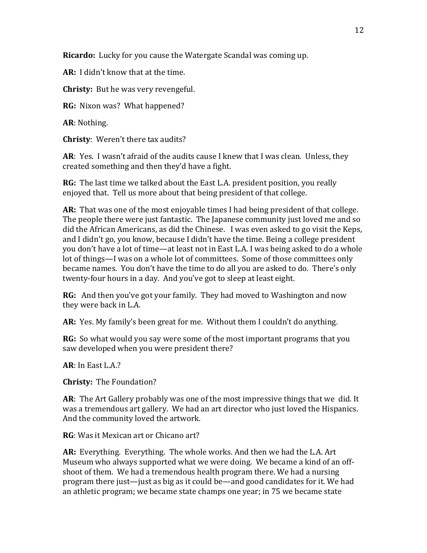**Ricardo:** Lucky for you cause the Watergate Scandal was coming up.

**AR:** I didn't know that at the time.

**Christy:** But he was very revengeful.

**RG:** Nixon was? What happened?

**AR**: Nothing.

**Christy**: Weren't there tax audits?

**AR**: Yes. I wasn't afraid of the audits cause I knew that I was clean. Unless, they created something and then they'd have a fight.

**RG:** The last time we talked about the East L.A. president position, you really enjoyed that. Tell us more about that being president of that college.

**AR:** That was one of the most enjoyable times I had being president of that college. The people there were just fantastic. The Japanese community just loved me and so did the African Americans, as did the Chinese. I was even asked to go visit the Keps, and I didn't go, you know, because I didn't have the time. Being a college president you don't have a lot of time—at least not in East L.A. I was being asked to do a whole lot of things—I was on a whole lot of committees. Some of those committees only became names. You don't have the time to do all you are asked to do. There's only twenty-four hours in a day. And you've got to sleep at least eight.

**RG:** And then you've got your family. They had moved to Washington and now they were back in L.A.

**AR:** Yes. My family's been great for me. Without them I couldn't do anything.

**RG:** So what would you say were some of the most important programs that you saw developed when you were president there?

**AR**: In East L.A.?

**Christy:** The Foundation?

**AR**: The Art Gallery probably was one of the most impressive things that we did. It was a tremendous art gallery. We had an art director who just loved the Hispanics. And the community loved the artwork.

**RG**: Was it Mexican art or Chicano art?

**AR:** Everything. Everything. The whole works. And then we had the L.A. Art Museum who always supported what we were doing. We became a kind of an offshoot of them. We had a tremendous health program there. We had a nursing program there just—just as big as it could be—and good candidates for it. We had an athletic program; we became state champs one year; in 75 we became state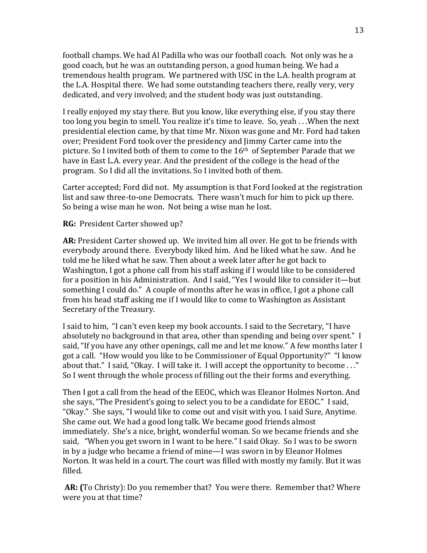football champs. We had Al Padilla who was our football coach. Not only was he a good coach, but he was an outstanding person, a good human being. We had a tremendous health program. We partnered with USC in the L.A. health program at the L.A. Hospital there. We had some outstanding teachers there, really very, very dedicated, and very involved; and the student body was just outstanding.

I really enjoyed my stay there. But you know, like everything else, if you stay there too long you begin to smell. You realize it's time to leave. So, yeah . . .When the next presidential election came, by that time Mr. Nixon was gone and Mr. Ford had taken over; President Ford took over the presidency and Jimmy Carter came into the picture. So I invited both of them to come to the 16th of September Parade that we have in East L.A. every year. And the president of the college is the head of the program. So I did all the invitations. So I invited both of them.

Carter accepted; Ford did not. My assumption is that Ford looked at the registration list and saw three-to-one Democrats. There wasn't much for him to pick up there. So being a wise man he won. Not being a wise man he lost.

**RG:** President Carter showed up?

**AR:** President Carter showed up. We invited him all over. He got to be friends with everybody around there. Everybody liked him. And he liked what he saw. And he told me he liked what he saw. Then about a week later after he got back to Washington, I got a phone call from his staff asking if I would like to be considered for a position in his Administration. And I said, "Yes I would like to consider it—but something I could do." A couple of months after he was in office, I got a phone call from his head staff asking me if I would like to come to Washington as Assistant Secretary of the Treasury.

I said to him, "I can't even keep my book accounts. I said to the Secretary, "I have absolutely no background in that area, other than spending and being over spent." I said, "If you have any other openings, call me and let me know." A few months later I got a call. "How would you like to be Commissioner of Equal Opportunity?" "I know about that." I said, "Okay. I will take it. I will accept the opportunity to become . . ." So I went through the whole process of filling out the their forms and everything.

Then I got a call from the head of the EEOC, which was Eleanor Holmes Norton. And she says, "The President's going to select you to be a candidate for EEOC." I said, "Okay." She says, "I would like to come out and visit with you. I said Sure, Anytime. She came out. We had a good long talk. We became good friends almost immediately. She's a nice, bright, wonderful woman. So we became friends and she said, "When you get sworn in I want to be here." I said Okay. So I was to be sworn in by a judge who became a friend of mine—I was sworn in by Eleanor Holmes Norton. It was held in a court. The court was filled with mostly my family. But it was filled.

**AR: (**To Christy): Do you remember that? You were there. Remember that? Where were you at that time?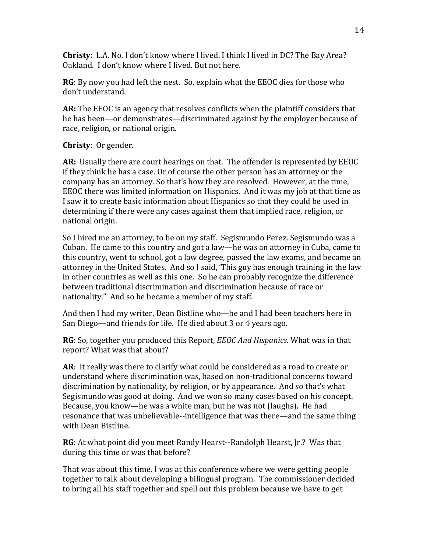**Christy:** L.A. No. I don't know where I lived. I think I lived in DC? The Bay Area? Oakland. I don't know where I lived. But not here.

**RG**: By now you had left the nest. So, explain what the EEOC dies for those who don't understand.

**AR:** The EEOC is an agency that resolves conflicts when the plaintiff considers that he has been—or demonstrates—discriminated against by the employer because of race, religion, or national origin.

## **Christy**: Or gender.

**AR:** Usually there are court hearings on that. The offender is represented by EEOC if they think he has a case. Or of course the other person has an attorney or the company has an attorney. So that's how they are resolved. However, at the time, EEOC there was limited information on Hispanics. And it was my job at that time as I saw it to create basic information about Hispanics so that they could be used in determining if there were any cases against them that implied race, religion, or national origin.

So I hired me an attorney, to be on my staff. Segismundo Perez. Segismundo was a Cuban. He came to this country and got a law—he was an attorney in Cuba, came to this country, went to school, got a law degree, passed the law exams, and became an attorney in the United States. And so I said, 'This guy has enough training in the law in other countries as well as this one. So he can probably recognize the difference between traditional discrimination and discrimination because of race or nationality." And so he became a member of my staff.

And then I had my writer, Dean Bistline who—he and I had been teachers here in San Diego—and friends for life. He died about 3 or 4 years ago.

**RG**: So, together you produced this Report, *EEOC And Hispanics*. What was in that report? What was that about?

**AR**: It really was there to clarify what could be considered as a road to create or understand where discrimination was, based on non-traditional concerns toward discrimination by nationality, by religion, or by appearance. And so that's what Segismundo was good at doing. And we won so many cases based on his concept. Because, you know—he was a white man, but he was not (laughs). He had resonance that was unbelievable--intelligence that was there—and the same thing with Dean Bistline.

**RG**: At what point did you meet Randy Hearst--Randolph Hearst, Jr.? Was that during this time or was that before?

That was about this time. I was at this conference where we were getting people together to talk about developing a bilingual program. The commissioner decided to bring all his staff together and spell out this problem because we have to get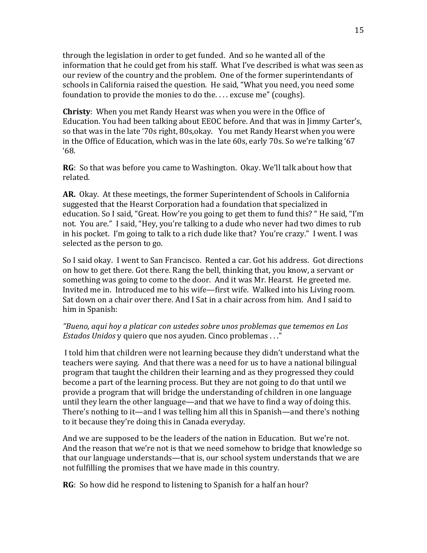through the legislation in order to get funded. And so he wanted all of the information that he could get from his staff. What I've described is what was seen as our review of the country and the problem. One of the former superintendants of schools in California raised the question. He said, "What you need, you need some foundation to provide the monies to do the. . . . excuse me" (coughs).

**Christy**: When you met Randy Hearst was when you were in the Office of Education. You had been talking about EEOC before. And that was in Jimmy Carter's, so that was in the late '70s right, 80s,okay. You met Randy Hearst when you were in the Office of Education, which was in the late 60s, early 70s. So we're talking '67 '68.

**RG**: So that was before you came to Washington. Okay. We'll talk about how that related.

**AR.** Okay. At these meetings, the former Superintendent of Schools in California suggested that the Hearst Corporation had a foundation that specialized in education. So I said, "Great. How're you going to get them to fund this? " He said, "I'm not. You are." I said, "Hey, you're talking to a dude who never had two dimes to rub in his pocket. I'm going to talk to a rich dude like that? You're crazy." I went. I was selected as the person to go.

So I said okay. I went to San Francisco. Rented a car. Got his address. Got directions on how to get there. Got there. Rang the bell, thinking that, you know, a servant or something was going to come to the door. And it was Mr. Hearst. He greeted me. Invited me in. Introduced me to his wife—first wife. Walked into his Living room. Sat down on a chair over there. And I Sat in a chair across from him. And I said to him in Spanish:

## *"Bueno, aqui hoy a platicar con ustedes sobre unos problemas que tememos en Los Estados Unidos* y quiero que nos ayuden. Cinco problemas . . ."

I told him that children were not learning because they didn't understand what the teachers were saying. And that there was a need for us to have a national bilingual program that taught the children their learning and as they progressed they could become a part of the learning process. But they are not going to do that until we provide a program that will bridge the understanding of children in one language until they learn the other language—and that we have to find a way of doing this. There's nothing to it—and I was telling him all this in Spanish—and there's nothing to it because they're doing this in Canada everyday.

And we are supposed to be the leaders of the nation in Education. But we're not. And the reason that we're not is that we need somehow to bridge that knowledge so that our language understands—that is, our school system understands that we are not fulfilling the promises that we have made in this country.

**RG**: So how did he respond to listening to Spanish for a half an hour?